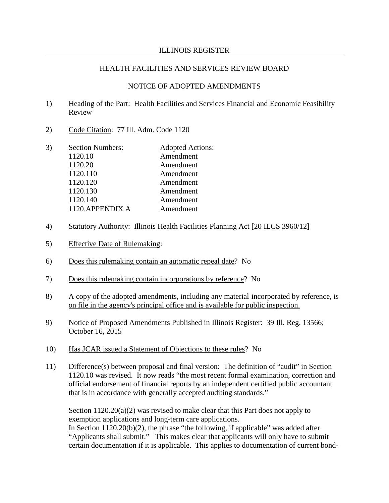## NOTICE OF ADOPTED AMENDMENTS

- 1) Heading of the Part: Health Facilities and Services Financial and Economic Feasibility Review
- 2) Code Citation: 77 Ill. Adm. Code 1120
- 3) Section Numbers: Adopted Actions: 1120.10 Amendment 1120.20 Amendment 1120.110 Amendment 1120.120 Amendment 1120.130 Amendment 1120.140 Amendment 1120.APPENDIX A Amendment
- 4) Statutory Authority: Illinois Health Facilities Planning Act [20 ILCS 3960/12]
- 5) Effective Date of Rulemaking:
- 6) Does this rulemaking contain an automatic repeal date? No
- 7) Does this rulemaking contain incorporations by reference? No
- 8) A copy of the adopted amendments, including any material incorporated by reference, is on file in the agency's principal office and is available for public inspection.
- 9) Notice of Proposed Amendments Published in Illinois Register: 39 Ill. Reg. 13566; October 16, 2015
- 10) Has JCAR issued a Statement of Objections to these rules? No
- 11) Difference(s) between proposal and final version: The definition of "audit" in Section 1120.10 was revised. It now reads "the most recent formal examination, correction and official endorsement of financial reports by an independent certified public accountant that is in accordance with generally accepted auditing standards."

Section  $1120.20(a)(2)$  was revised to make clear that this Part does not apply to exemption applications and long-term care applications. In Section 1120.20(b)(2), the phrase "the following, if applicable" was added after "Applicants shall submit." This makes clear that applicants will only have to submit certain documentation if it is applicable. This applies to documentation of current bond-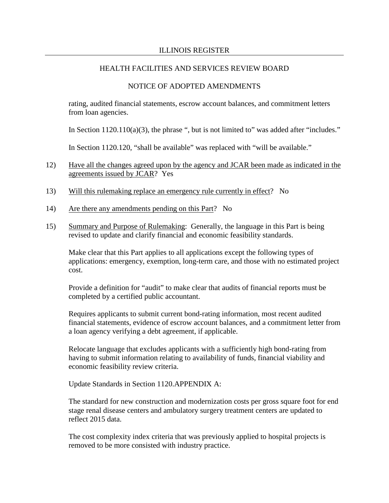## NOTICE OF ADOPTED AMENDMENTS

rating, audited financial statements, escrow account balances, and commitment letters from loan agencies.

In Section  $1120.110(a)(3)$ , the phrase ", but is not limited to" was added after "includes."

In Section 1120.120, "shall be available" was replaced with "will be available."

- 12) Have all the changes agreed upon by the agency and JCAR been made as indicated in the agreements issued by JCAR? Yes
- 13) Will this rulemaking replace an emergency rule currently in effect? No
- 14) Are there any amendments pending on this Part? No
- 15) Summary and Purpose of Rulemaking: Generally, the language in this Part is being revised to update and clarify financial and economic feasibility standards.

Make clear that this Part applies to all applications except the following types of applications: emergency, exemption, long-term care, and those with no estimated project cost.

Provide a definition for "audit" to make clear that audits of financial reports must be completed by a certified public accountant.

Requires applicants to submit current bond-rating information, most recent audited financial statements, evidence of escrow account balances, and a commitment letter from a loan agency verifying a debt agreement, if applicable.

Relocate language that excludes applicants with a sufficiently high bond-rating from having to submit information relating to availability of funds, financial viability and economic feasibility review criteria.

Update Standards in Section 1120.APPENDIX A:

The standard for new construction and modernization costs per gross square foot for end stage renal disease centers and ambulatory surgery treatment centers are updated to reflect 2015 data.

The cost complexity index criteria that was previously applied to hospital projects is removed to be more consisted with industry practice.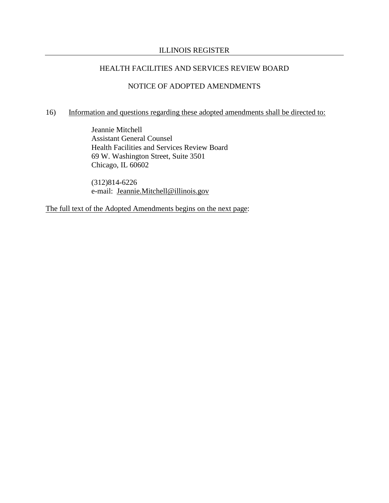## HEALTH FACILITIES AND SERVICES REVIEW BOARD

#### NOTICE OF ADOPTED AMENDMENTS

## 16) Information and questions regarding these adopted amendments shall be directed to:

Jeannie Mitchell Assistant General Counsel Health Facilities and Services Review Board 69 W. Washington Street, Suite 3501 Chicago, IL 60602

(312)814-6226 e-mail: [Jeannie.Mitchell@illinois.gov](mailto:Jeannie.Mitchell@illinois.gov)

The full text of the Adopted Amendments begins on the next page: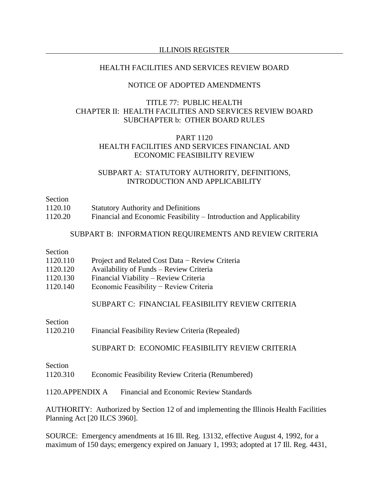#### HEALTH FACILITIES AND SERVICES REVIEW BOARD

#### NOTICE OF ADOPTED AMENDMENTS

## TITLE 77: PUBLIC HEALTH CHAPTER II: HEALTH FACILITIES AND SERVICES REVIEW BOARD SUBCHAPTER b: OTHER BOARD RULES

## PART 1120 HEALTH FACILITIES AND SERVICES FINANCIAL AND ECONOMIC FEASIBILITY REVIEW

#### SUBPART A: STATUTORY AUTHORITY, DEFINITIONS, INTRODUCTION AND APPLICABILITY

Section

- 1120.10 Statutory Authority and Definitions
- 1120.20 Financial and Economic Feasibility Introduction and Applicability

### SUBPART B: INFORMATION REQUIREMENTS AND REVIEW CRITERIA

## Section

- 1120.110 Project and Related Cost Data − Review Criteria
- 1120.120 Availability of Funds Review Criteria
- 1120.130 Financial Viability Review Criteria
- 1120.140 Economic Feasibility − Review Criteria

## SUBPART C: FINANCIAL FEASIBILITY REVIEW CRITERIA

Section

1120.210 Financial Feasibility Review Criteria (Repealed)

## SUBPART D: ECONOMIC FEASIBILITY REVIEW CRITERIA

## Section 1120.310 Economic Feasibility Review Criteria (Renumbered)

1120.APPENDIX A Financial and Economic Review Standards

AUTHORITY: Authorized by Section 12 of and implementing the Illinois Health Facilities Planning Act [20 ILCS 3960].

SOURCE: Emergency amendments at 16 Ill. Reg. 13132, effective August 4, 1992, for a maximum of 150 days; emergency expired on January 1, 1993; adopted at 17 Ill. Reg. 4431,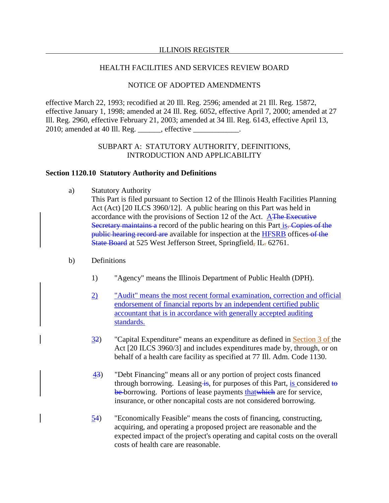## HEALTH FACILITIES AND SERVICES REVIEW BOARD

## NOTICE OF ADOPTED AMENDMENTS

effective March 22, 1993; recodified at 20 Ill. Reg. 2596; amended at 21 Ill. Reg. 15872, effective January 1, 1998; amended at 24 Ill. Reg. 6052, effective April 7, 2000; amended at 27 Ill. Reg. 2960, effective February 21, 2003; amended at 34 Ill. Reg. 6143, effective April 13, 2010; amended at 40 Ill. Reg. \_\_\_\_\_\_, effective \_\_\_\_\_\_\_

## SUBPART A: STATUTORY AUTHORITY, DEFINITIONS, INTRODUCTION AND APPLICABILITY

#### **Section 1120.10 Statutory Authority and Definitions**

a) Statutory Authority

This Part is filed pursuant to Section 12 of the Illinois Health Facilities Planning Act (Act) [20 ILCS 3960/12]. A public hearing on this Part was held in accordance with the provisions of Section 12 of the Act. **AThe Executive** Secretary maintains a record of the public hearing on this Part is. Copies of the public hearing record are available for inspection at the HFSRB offices of the State Board at 525 West Jefferson Street, Springfield, IL. 62761.

- b) Definitions
	- 1) "Agency" means the Illinois Department of Public Health (DPH).
	- 2) "Audit" means the most recent formal examination, correction and official endorsement of financial reports by an independent certified public accountant that is in accordance with generally accepted auditing standards.
	- 32) "Capital Expenditure" means an expenditure as defined in Section 3 of the Act [20 ILCS 3960/3] and includes expenditures made by, through, or on behalf of a health care facility as specified at 77 Ill. Adm. Code 1130.
	- 43) "Debt Financing" means all or any portion of project costs financed through borrowing. Leasing  $\frac{1}{2}$  for purposes of this Part, is considered to be borrowing. Portions of lease payments that which are for service, insurance, or other noncapital costs are not considered borrowing.
	- 54) "Economically Feasible" means the costs of financing, constructing, acquiring, and operating a proposed project are reasonable and the expected impact of the project's operating and capital costs on the overall costs of health care are reasonable.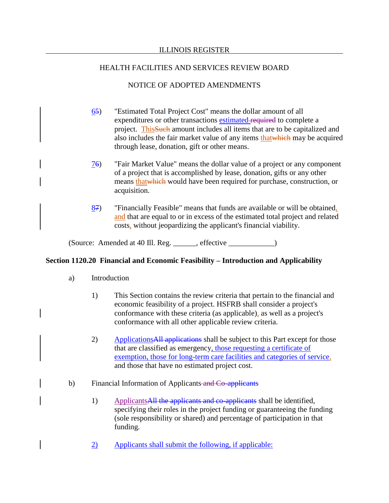## NOTICE OF ADOPTED AMENDMENTS

- 65) "Estimated Total Project Cost" means the dollar amount of all expenditures or other transactions estimated required to complete a project. ThisSuch amount includes all items that are to be capitalized and also includes the fair market value of any items thatwhich may be acquired through lease, donation, gift or other means.
- 76) "Fair Market Value" means the dollar value of a project or any component of a project that is accomplished by lease, donation, gifts or any other means thatwhich would have been required for purchase, construction, or acquisition.
- $87$  "Financially Feasible" means that funds are available or will be obtained, and that are equal to or in excess of the estimated total project and related costs, without jeopardizing the applicant's financial viability.

(Source: Amended at 40 Ill. Reg. \_\_\_\_\_\_, effective \_\_\_\_\_\_\_\_\_\_\_\_)

## **Section 1120.20 Financial and Economic Feasibility – Introduction and Applicability**

- a) Introduction
	- 1) This Section contains the review criteria that pertain to the financial and economic feasibility of a project. HSFRB shall consider a project's conformance with these criteria (as applicable), as well as a project's conformance with all other applicable review criteria.
	- 2) Applications All applications shall be subject to this Part except for those that are classified as emergency, those requesting a certificate of exemption, those for long-term care facilities and categories of service, and those that have no estimated project cost.
- b) Financial Information of Applicants and Co-applicants
	- 1) Applicants All the applicants and co-applicants shall be identified, specifying their roles in the project funding or guaranteeing the funding (sole responsibility or shared) and percentage of participation in that funding.
	- 2) Applicants shall submit the following, if applicable: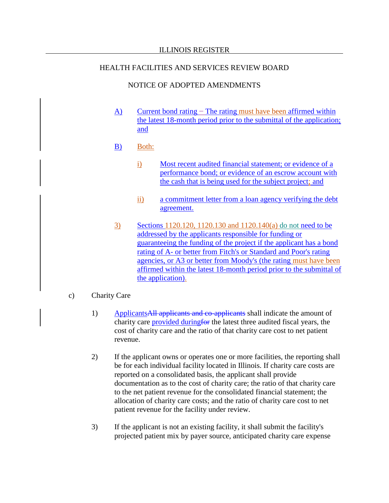### HEALTH FACILITIES AND SERVICES REVIEW BOARD

## NOTICE OF ADOPTED AMENDMENTS

- A) Current bond rating − The rating must have been affirmed within the latest 18-month period prior to the submittal of the application; and
- B) Both:
	- i) Most recent audited financial statement; or evidence of a performance bond; or evidence of an escrow account with the cash that is being used for the subject project; and
	- ii) a commitment letter from a loan agency verifying the debt agreement.
- 3) Sections 1120.120, 1120.130 and 1120.140(a) do not need to be addressed by the applicants responsible for funding or guaranteeing the funding of the project if the applicant has a bond rating of A- or better from Fitch's or Standard and Poor's rating agencies, or A3 or better from Moody's (the rating must have been affirmed within the latest 18-month period prior to the submittal of the application).
- c) Charity Care
	- 1) Applicants All applicants and co-applicants shall indicate the amount of charity care provided during for the latest three audited fiscal years, the cost of charity care and the ratio of that charity care cost to net patient revenue.
	- 2) If the applicant owns or operates one or more facilities, the reporting shall be for each individual facility located in Illinois. If charity care costs are reported on a consolidated basis, the applicant shall provide documentation as to the cost of charity care; the ratio of that charity care to the net patient revenue for the consolidated financial statement; the allocation of charity care costs; and the ratio of charity care cost to net patient revenue for the facility under review.
	- 3) If the applicant is not an existing facility, it shall submit the facility's projected patient mix by payer source, anticipated charity care expense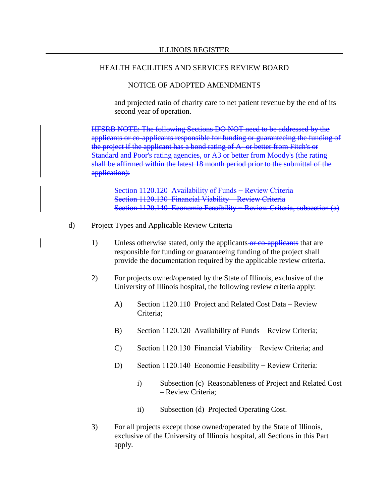### NOTICE OF ADOPTED AMENDMENTS

and projected ratio of charity care to net patient revenue by the end of its second year of operation.

HFSRB NOTE: The following Sections DO NOT need to be addressed by the applicants or co-applicants responsible for funding or guaranteeing the funding of the project if the applicant has a bond rating of A- or better from Fitch's or Standard and Poor's rating agencies, or A3 or better from Moody's (the rating shall be affirmed within the latest 18 month period prior to the submittal of the application):

Section 1120.120 Availability of Funds – Review Criteria Section 1120.130 Financial Viability – Review Criteria Section 1120.140 Economic Feasibility – Review Criteria, subsection (a)

- d) Project Types and Applicable Review Criteria
	- 1) Unless otherwise stated, only the applicants or co-applicants that are responsible for funding or guaranteeing funding of the project shall provide the documentation required by the applicable review criteria.
	- 2) For projects owned/operated by the State of Illinois, exclusive of the University of Illinois hospital, the following review criteria apply:
		- A) Section 1120.110 Project and Related Cost Data Review Criteria;
		- B) Section 1120.120 Availability of Funds Review Criteria;
		- C) Section 1120.130 Financial Viability − Review Criteria; and
		- D) Section 1120.140 Economic Feasibility Review Criteria:
			- i) Subsection (c) Reasonableness of Project and Related Cost – Review Criteria;
			- ii) Subsection (d) Projected Operating Cost.
	- 3) For all projects except those owned/operated by the State of Illinois, exclusive of the University of Illinois hospital, all Sections in this Part apply.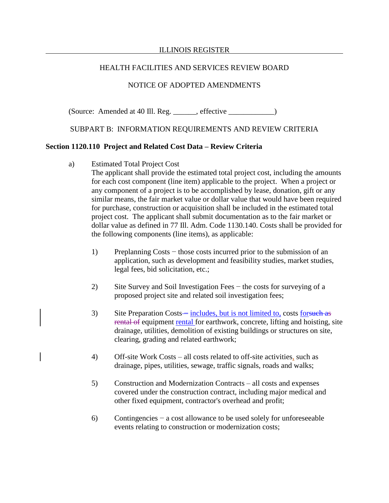## HEALTH FACILITIES AND SERVICES REVIEW BOARD

## NOTICE OF ADOPTED AMENDMENTS

(Source: Amended at 40 Ill. Reg. \_\_\_\_\_\_, effective \_\_\_\_\_\_\_\_\_\_\_\_)

## SUBPART B: INFORMATION REQUIREMENTS AND REVIEW CRITERIA

## **Section 1120.110 Project and Related Cost Data – Review Criteria**

a) Estimated Total Project Cost

The applicant shall provide the estimated total project cost, including the amounts for each cost component (line item) applicable to the project. When a project or any component of a project is to be accomplished by lease, donation, gift or any similar means, the fair market value or dollar value that would have been required for purchase, construction or acquisition shall be included in the estimated total project cost. The applicant shall submit documentation as to the fair market or dollar value as defined in 77 Ill. Adm. Code 1130.140. Costs shall be provided for the following components (line items), as applicable:

- 1) Preplanning Costs − those costs incurred prior to the submission of an application, such as development and feasibility studies, market studies, legal fees, bid solicitation, etc.;
- 2) Site Survey and Soil Investigation Fees − the costs for surveying of a proposed project site and related soil investigation fees;
- 3) Site Preparation Costs includes, but is not limited to, costs for such as rental of equipment rental for earthwork, concrete, lifting and hoisting, site drainage, utilities, demolition of existing buildings or structures on site, clearing, grading and related earthwork;
- 4) Off-site Work Costs all costs related to off-site activities, such as drainage, pipes, utilities, sewage, traffic signals, roads and walks;
- 5) Construction and Modernization Contracts all costs and expenses covered under the construction contract, including major medical and other fixed equipment, contractor's overhead and profit;
- 6) Contingencies − a cost allowance to be used solely for unforeseeable events relating to construction or modernization costs;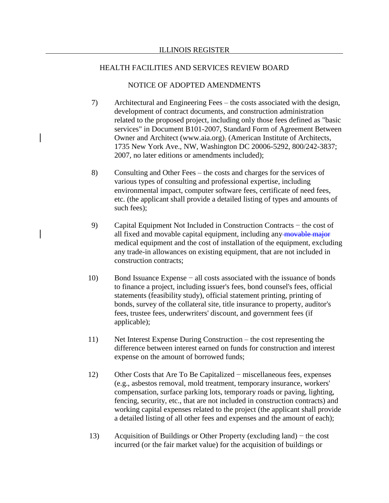## NOTICE OF ADOPTED AMENDMENTS

- 7) Architectural and Engineering Fees the costs associated with the design, development of contract documents, and construction administration related to the proposed project, including only those fees defined as "basic services" in Document B101-2007, Standard Form of Agreement Between Owner and Architect (www.aia.org), (American Institute of Architects, 1735 New York Ave., NW, Washington DC 20006-5292, 800/242-3837; 2007, no later editions or amendments included);
- 8) Consulting and Other Fees the costs and charges for the services of various types of consulting and professional expertise, including environmental impact, computer software fees, certificate of need fees, etc. (the applicant shall provide a detailed listing of types and amounts of such fees);
- 9) Capital Equipment Not Included in Construction Contracts − the cost of all fixed and movable capital equipment, including any movable major medical equipment and the cost of installation of the equipment, excluding any trade-in allowances on existing equipment, that are not included in construction contracts;
- 10) Bond Issuance Expense − all costs associated with the issuance of bonds to finance a project, including issuer's fees, bond counsel's fees, official statements (feasibility study), official statement printing, printing of bonds, survey of the collateral site, title insurance to property, auditor's fees, trustee fees, underwriters' discount, and government fees (if applicable);
- 11) Net Interest Expense During Construction the cost representing the difference between interest earned on funds for construction and interest expense on the amount of borrowed funds;
- 12) Other Costs that Are To Be Capitalized − miscellaneous fees, expenses (e.g., asbestos removal, mold treatment, temporary insurance, workers' compensation, surface parking lots, temporary roads or paving, lighting, fencing, security, etc., that are not included in construction contracts) and working capital expenses related to the project (the applicant shall provide a detailed listing of all other fees and expenses and the amount of each);
- 13) Acquisition of Buildings or Other Property (excluding land) − the cost incurred (or the fair market value) for the acquisition of buildings or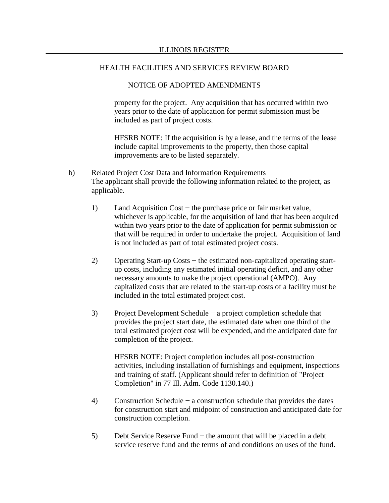### NOTICE OF ADOPTED AMENDMENTS

property for the project. Any acquisition that has occurred within two years prior to the date of application for permit submission must be included as part of project costs.

HFSRB NOTE: If the acquisition is by a lease, and the terms of the lease include capital improvements to the property, then those capital improvements are to be listed separately.

- b) Related Project Cost Data and Information Requirements The applicant shall provide the following information related to the project, as applicable.
	- 1) Land Acquisition Cost − the purchase price or fair market value, whichever is applicable, for the acquisition of land that has been acquired within two years prior to the date of application for permit submission or that will be required in order to undertake the project. Acquisition of land is not included as part of total estimated project costs.
	- 2) Operating Start-up Costs − the estimated non-capitalized operating startup costs, including any estimated initial operating deficit, and any other necessary amounts to make the project operational (AMPO). Any capitalized costs that are related to the start-up costs of a facility must be included in the total estimated project cost.
	- 3) Project Development Schedule − a project completion schedule that provides the project start date, the estimated date when one third of the total estimated project cost will be expended, and the anticipated date for completion of the project.

HFSRB NOTE: Project completion includes all post-construction activities, including installation of furnishings and equipment, inspections and training of staff. (Applicant should refer to definition of "Project Completion" in 77 Ill. Adm. Code 1130.140.)

- 4) Construction Schedule − a construction schedule that provides the dates for construction start and midpoint of construction and anticipated date for construction completion.
- 5) Debt Service Reserve Fund − the amount that will be placed in a debt service reserve fund and the terms of and conditions on uses of the fund.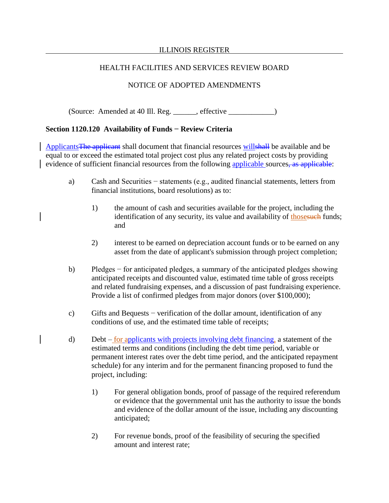## HEALTH FACILITIES AND SERVICES REVIEW BOARD

## NOTICE OF ADOPTED AMENDMENTS

(Source: Amended at 40 Ill. Reg. \_\_\_\_\_\_, effective \_\_\_\_\_\_\_\_\_\_\_\_)

## **Section 1120.120 Availability of Funds − Review Criteria**

ApplicantsThe applicant shall document that financial resources willshall be available and be equal to or exceed the estimated total project cost plus any related project costs by providing evidence of sufficient financial resources from the following applicable sources, as applicable:

- a) Cash and Securities − statements (e.g., audited financial statements, letters from financial institutions, board resolutions) as to:
	- 1) the amount of cash and securities available for the project, including the identification of any security, its value and availability of thosesuch funds; and
	- 2) interest to be earned on depreciation account funds or to be earned on any asset from the date of applicant's submission through project completion;
- b) Pledges − for anticipated pledges, a summary of the anticipated pledges showing anticipated receipts and discounted value, estimated time table of gross receipts and related fundraising expenses, and a discussion of past fundraising experience. Provide a list of confirmed pledges from major donors (over \$100,000);
- c) Gifts and Bequests − verification of the dollar amount, identification of any conditions of use, and the estimated time table of receipts;
- d) Debt for applicants with projects involving debt financing, a statement of the estimated terms and conditions (including the debt time period, variable or permanent interest rates over the debt time period, and the anticipated repayment schedule) for any interim and for the permanent financing proposed to fund the project, including:
	- 1) For general obligation bonds, proof of passage of the required referendum or evidence that the governmental unit has the authority to issue the bonds and evidence of the dollar amount of the issue, including any discounting anticipated;
	- 2) For revenue bonds, proof of the feasibility of securing the specified amount and interest rate;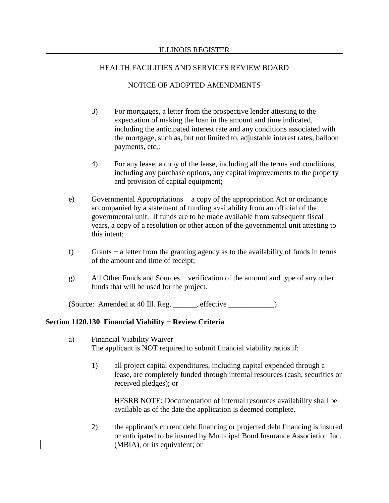## NOTICE OF ADOPTED AMENDMENTS

- 3) For mortgages, a letter from the prospective lender attesting to the expectation of making the loan in the amount and time indicated, including the anticipated interest rate and any conditions associated with the mortgage, such as, but not limited to, adjustable interest rates, balloon payments, etc.;
- 4) For any lease, a copy of the lease, including all the terms and conditions, including any purchase options, any capital improvements to the property and provision of capital equipment;
- e) Governmental Appropriations − a copy of the appropriation Act or ordinance accompanied by a statement of funding availability from an official of the governmental unit. If funds are to be made available from subsequent fiscal years, a copy of a resolution or other action of the governmental unit attesting to this intent;
- f) Grants − a letter from the granting agency as to the availability of funds in terms of the amount and time of receipt;
- g) All Other Funds and Sources − verification of the amount and type of any other funds that will be used for the project.

(Source: Amended at 40 Ill. Reg. effective )

## **Section 1120.130 Financial Viability − Review Criteria**

- a) Financial Viability Waiver The applicant is NOT required to submit financial viability ratios if:
	- 1) all project capital expenditures, including capital expended through a lease, are completely funded through internal resources (cash, securities or received pledges); or

HFSRB NOTE: Documentation of internal resources availability shall be available as of the date the application is deemed complete.

2) the applicant's current debt financing or projected debt financing is insured or anticipated to be insured by Municipal Bond Insurance Association Inc.  $(MBIA)$ , or its equivalent; or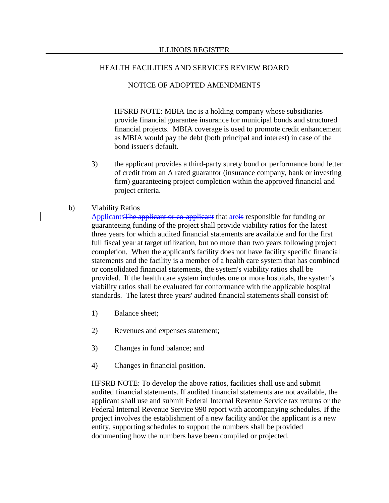## NOTICE OF ADOPTED AMENDMENTS

HFSRB NOTE: MBIA Inc is a holding company whose subsidiaries provide financial guarantee insurance for municipal bonds and structured financial projects. MBIA coverage is used to promote credit enhancement as MBIA would pay the debt (both principal and interest) in case of the bond issuer's default.

3) the applicant provides a third-party surety bond or performance bond letter of credit from an A rated guarantor (insurance company, bank or investing firm) guaranteeing project completion within the approved financial and project criteria.

## b) Viability Ratios

Applicants The applicant or co-applicant that are is responsible for funding or guaranteeing funding of the project shall provide viability ratios for the latest three years for which audited financial statements are available and for the first full fiscal year at target utilization, but no more than two years following project completion. When the applicant's facility does not have facility specific financial statements and the facility is a member of a health care system that has combined or consolidated financial statements, the system's viability ratios shall be provided. If the health care system includes one or more hospitals, the system's viability ratios shall be evaluated for conformance with the applicable hospital standards. The latest three years' audited financial statements shall consist of:

- 1) Balance sheet;
- 2) Revenues and expenses statement;
- 3) Changes in fund balance; and
- 4) Changes in financial position.

HFSRB NOTE: To develop the above ratios, facilities shall use and submit audited financial statements. If audited financial statements are not available, the applicant shall use and submit Federal Internal Revenue Service tax returns or the Federal Internal Revenue Service 990 report with accompanying schedules. If the project involves the establishment of a new facility and/or the applicant is a new entity, supporting schedules to support the numbers shall be provided documenting how the numbers have been compiled or projected.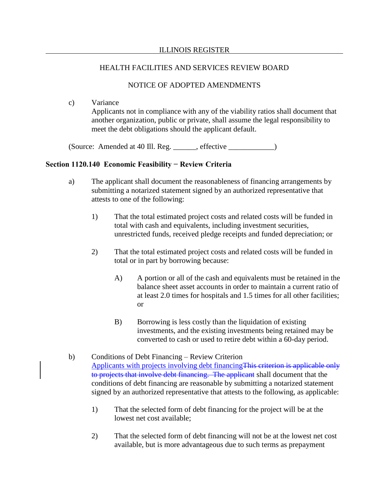## NOTICE OF ADOPTED AMENDMENTS

c) Variance Applicants not in compliance with any of the viability ratios shall document that another organization, public or private, shall assume the legal responsibility to meet the debt obligations should the applicant default.

(Source: Amended at 40 Ill. Reg. \_\_\_\_\_\_, effective \_\_\_\_\_\_\_\_\_\_\_\_)

## **Section 1120.140 Economic Feasibility − Review Criteria**

- a) The applicant shall document the reasonableness of financing arrangements by submitting a notarized statement signed by an authorized representative that attests to one of the following:
	- 1) That the total estimated project costs and related costs will be funded in total with cash and equivalents, including investment securities, unrestricted funds, received pledge receipts and funded depreciation; or
	- 2) That the total estimated project costs and related costs will be funded in total or in part by borrowing because:
		- A) A portion or all of the cash and equivalents must be retained in the balance sheet asset accounts in order to maintain a current ratio of at least 2.0 times for hospitals and 1.5 times for all other facilities; or
		- B) Borrowing is less costly than the liquidation of existing investments, and the existing investments being retained may be converted to cash or used to retire debt within a 60-day period.
- b) Conditions of Debt Financing Review Criterion Applicants with projects involving debt financingThis criterion is applicable only to projects that involve debt financing. The applicant shall document that the conditions of debt financing are reasonable by submitting a notarized statement signed by an authorized representative that attests to the following, as applicable:
	- 1) That the selected form of debt financing for the project will be at the lowest net cost available;
	- 2) That the selected form of debt financing will not be at the lowest net cost available, but is more advantageous due to such terms as prepayment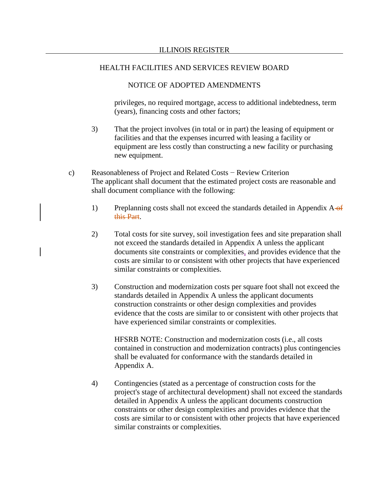## NOTICE OF ADOPTED AMENDMENTS

privileges, no required mortgage, access to additional indebtedness, term (years), financing costs and other factors;

- 3) That the project involves (in total or in part) the leasing of equipment or facilities and that the expenses incurred with leasing a facility or equipment are less costly than constructing a new facility or purchasing new equipment.
- c) Reasonableness of Project and Related Costs − Review Criterion The applicant shall document that the estimated project costs are reasonable and shall document compliance with the following:
	- 1) Preplanning costs shall not exceed the standards detailed in Appendix  $A_{\text{eff}}$ this Part.
	- 2) Total costs for site survey, soil investigation fees and site preparation shall not exceed the standards detailed in Appendix A unless the applicant documents site constraints or complexities, and provides evidence that the costs are similar to or consistent with other projects that have experienced similar constraints or complexities.
	- 3) Construction and modernization costs per square foot shall not exceed the standards detailed in Appendix A unless the applicant documents construction constraints or other design complexities and provides evidence that the costs are similar to or consistent with other projects that have experienced similar constraints or complexities.

HFSRB NOTE: Construction and modernization costs (i.e., all costs contained in construction and modernization contracts) plus contingencies shall be evaluated for conformance with the standards detailed in Appendix A.

4) Contingencies (stated as a percentage of construction costs for the project's stage of architectural development) shall not exceed the standards detailed in Appendix A unless the applicant documents construction constraints or other design complexities and provides evidence that the costs are similar to or consistent with other projects that have experienced similar constraints or complexities.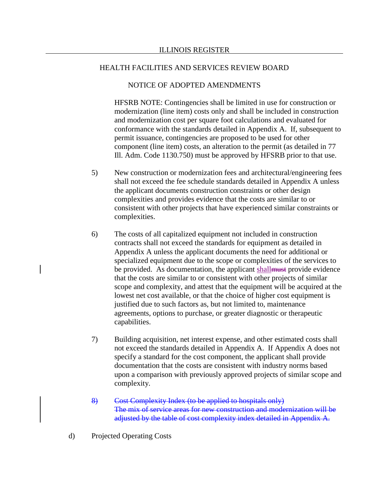## NOTICE OF ADOPTED AMENDMENTS

HFSRB NOTE: Contingencies shall be limited in use for construction or modernization (line item) costs only and shall be included in construction and modernization cost per square foot calculations and evaluated for conformance with the standards detailed in Appendix A. If, subsequent to permit issuance, contingencies are proposed to be used for other component (line item) costs, an alteration to the permit (as detailed in 77 Ill. Adm. Code 1130.750) must be approved by HFSRB prior to that use.

- 5) New construction or modernization fees and architectural/engineering fees shall not exceed the fee schedule standards detailed in Appendix A unless the applicant documents construction constraints or other design complexities and provides evidence that the costs are similar to or consistent with other projects that have experienced similar constraints or complexities.
- 6) The costs of all capitalized equipment not included in construction contracts shall not exceed the standards for equipment as detailed in Appendix A unless the applicant documents the need for additional or specialized equipment due to the scope or complexities of the services to be provided. As documentation, the applicant shall must provide evidence that the costs are similar to or consistent with other projects of similar scope and complexity, and attest that the equipment will be acquired at the lowest net cost available, or that the choice of higher cost equipment is justified due to such factors as, but not limited to, maintenance agreements, options to purchase, or greater diagnostic or therapeutic capabilities.
- 7) Building acquisition, net interest expense, and other estimated costs shall not exceed the standards detailed in Appendix A. If Appendix A does not specify a standard for the cost component, the applicant shall provide documentation that the costs are consistent with industry norms based upon a comparison with previously approved projects of similar scope and complexity.
- 8) Cost Complexity Index (to be applied to hospitals only) The mix of service areas for new construction and modernization will be adjusted by the table of cost complexity index detailed in Appendix A.
- d) Projected Operating Costs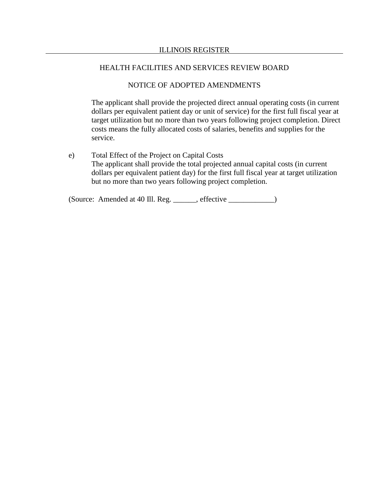## NOTICE OF ADOPTED AMENDMENTS

The applicant shall provide the projected direct annual operating costs (in current dollars per equivalent patient day or unit of service) for the first full fiscal year at target utilization but no more than two years following project completion. Direct costs means the fully allocated costs of salaries, benefits and supplies for the service.

e) Total Effect of the Project on Capital Costs The applicant shall provide the total projected annual capital costs (in current dollars per equivalent patient day) for the first full fiscal year at target utilization but no more than two years following project completion.

(Source: Amended at 40 Ill. Reg. \_\_\_\_\_\_, effective \_\_\_\_\_\_\_\_\_\_\_\_)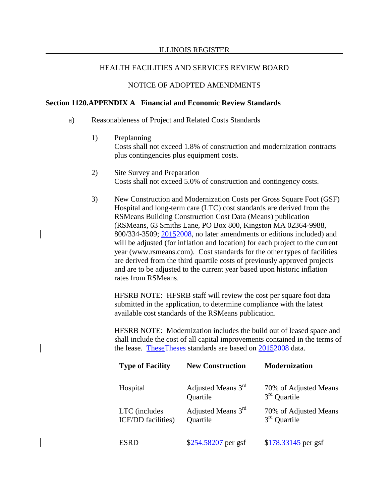## HEALTH FACILITIES AND SERVICES REVIEW BOARD

## NOTICE OF ADOPTED AMENDMENTS

## **Section 1120.APPENDIX A Financial and Economic Review Standards**

- a) Reasonableness of Project and Related Costs Standards
	- 1) Preplanning Costs shall not exceed 1.8% of construction and modernization contracts plus contingencies plus equipment costs.
	- 2) Site Survey and Preparation Costs shall not exceed 5.0% of construction and contingency costs.
	- 3) New Construction and Modernization Costs per Gross Square Foot (GSF) Hospital and long-term care (LTC) cost standards are derived from the RSMeans Building Construction Cost Data (Means) publication (RSMeans, 63 Smiths Lane, PO Box 800, Kingston MA 02364-9988, 800/334-3509; 20152008, no later amendments or editions included) and will be adjusted (for inflation and location) for each project to the current year (www.rsmeans.com). Cost standards for the other types of facilities are derived from the third quartile costs of previously approved projects and are to be adjusted to the current year based upon historic inflation rates from RSMeans.

HFSRB NOTE: HFSRB staff will review the cost per square foot data submitted in the application, to determine compliance with the latest available cost standards of the RSMeans publication.

HFSRB NOTE: Modernization includes the build out of leased space and shall include the cost of all capital improvements contained in the terms of the lease. TheseTheses standards are based on 20152008 data.

| <b>Type of Facility</b>                    | <b>New Construction</b>        | <b>Modernization</b>                    |
|--------------------------------------------|--------------------------------|-----------------------------------------|
| Hospital                                   | Adjusted Means 3rd<br>Quartile | 70% of Adjusted Means<br>$3rd$ Quartile |
| LTC (includes<br><b>ICF/DD</b> facilities) | Adjusted Means 3rd<br>Quartile | 70% of Adjusted Means<br>$3rd$ Quartile |
| ESRD                                       | \$254.58207 per gsf            | $$178.33445$ per gsf                    |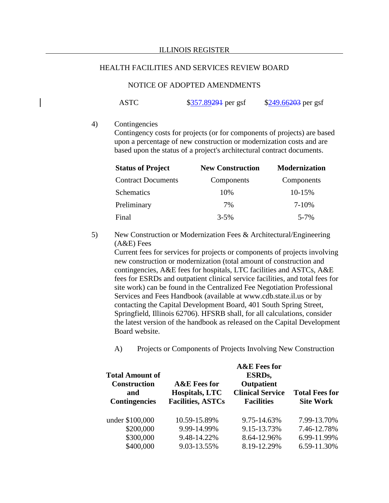## NOTICE OF ADOPTED AMENDMENTS

ASTC \$357.89291 per gsf \$249.66203 per gsf

4) Contingencies

Contingency costs for projects (or for components of projects) are based upon a percentage of new construction or modernization costs and are based upon the status of a project's architectural contract documents.

| <b>Status of Project</b>  | <b>New Construction</b> | <b>Modernization</b> |
|---------------------------|-------------------------|----------------------|
| <b>Contract Documents</b> | Components              | Components           |
| <b>Schematics</b>         | 10%                     | 10-15%               |
| Preliminary               | 7%                      | $7 - 10%$            |
| Final                     | $3 - 5\%$               | $5 - 7%$             |

5) New Construction or Modernization Fees & Architectural/Engineering (A&E) Fees

Current fees for services for projects or components of projects involving new construction or modernization (total amount of construction and contingencies, A&E fees for hospitals, LTC facilities and ASTCs, A&E fees for ESRDs and outpatient clinical service facilities, and total fees for site work) can be found in the Centralized Fee Negotiation Professional Services and Fees Handbook (available at www.cdb.state.il.us or by contacting the Capital Development Board, 401 South Spring Street, Springfield, Illinois 62706). HFSRB shall, for all calculations, consider the latest version of the handbook as released on the Capital Development Board website.

A) Projects or Components of Projects Involving New Construction

|                                               | <b>A&amp;E</b> Fees for                           |                                              |                                           |  |
|-----------------------------------------------|---------------------------------------------------|----------------------------------------------|-------------------------------------------|--|
| <b>Total Amount of</b><br><b>Construction</b> | <b>A&amp;E</b> Fees for                           | ESRD <sub>s</sub> ,<br>Outpatient            |                                           |  |
| and<br><b>Contingencies</b>                   | <b>Hospitals, LTC</b><br><b>Facilities, ASTCs</b> | <b>Clinical Service</b><br><b>Facilities</b> | <b>Total Fees for</b><br><b>Site Work</b> |  |
| under \$100,000                               | 10.59-15.89%                                      | 9.75-14.63%                                  | 7.99-13.70%                               |  |
| \$200,000                                     | 9.99-14.99%                                       | 9.15-13.73%                                  | 7.46-12.78%                               |  |
| \$300,000                                     | 9.48-14.22%                                       | 8.64-12.96%                                  | 6.99-11.99%                               |  |
| \$400,000                                     | 9.03-13.55%                                       | 8.19-12.29%                                  | 6.59-11.30%                               |  |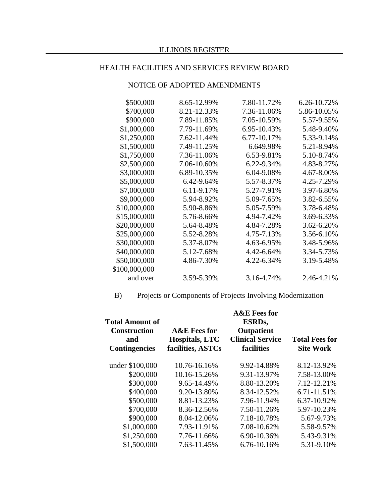## NOTICE OF ADOPTED AMENDMENTS

| 8.65-12.99% | 7.80-11.72% | 6.26-10.72% |
|-------------|-------------|-------------|
| 8.21-12.33% | 7.36-11.06% | 5.86-10.05% |
| 7.89-11.85% | 7.05-10.59% | 5.57-9.55%  |
| 7.79-11.69% | 6.95-10.43% | 5.48-9.40%  |
| 7.62-11.44% | 6.77-10.17% | 5.33-9.14%  |
| 7.49-11.25% | 6.649.98%   | 5.21-8.94%  |
| 7.36-11.06% | 6.53-9.81%  | 5.10-8.74%  |
| 7.06-10.60% | 6.22-9.34%  | 4.83-8.27%  |
| 6.89-10.35% | 6.04-9.08%  | 4.67-8.00%  |
| 6.42-9.64%  | 5.57-8.37%  | 4.25-7.29%  |
| 6.11-9.17%  | 5.27-7.91%  | 3.97-6.80%  |
| 5.94-8.92%  | 5.09-7.65%  | 3.82-6.55%  |
| 5.90-8.86%  | 5.05-7.59%  | 3.78-6.48%  |
| 5.76-8.66%  | 4.94-7.42%  | 3.69-6.33%  |
| 5.64-8.48%  | 4.84-7.28%  | 3.62-6.20%  |
| 5.52-8.28%  | 4.75-7.13%  | 3.56-6.10%  |
| 5.37-8.07%  | 4.63-6.95%  | 3.48-5.96%  |
| 5.12-7.68%  | 4.42-6.64%  | 3.34-5.73%  |
| 4.86-7.30%  | 4.22-6.34%  | 3.19-5.48%  |
|             |             |             |
| 3.59-5.39%  | 3.16-4.74%  | 2.46-4.21%  |
|             |             |             |

B) Projects or Components of Projects Involving Modernization

| Total Amount of<br><b>Construction</b><br>and<br><b>Contingencies</b> | <b>A&amp;E</b> Fees for<br><b>Hospitals, LTC</b><br>facilities, ASTCs | <b>A&amp;E</b> Fees for<br>ESRD <sub>s</sub> ,<br>Outpatient<br><b>Clinical Service</b><br>facilities | <b>Total Fees for</b><br><b>Site Work</b> |
|-----------------------------------------------------------------------|-----------------------------------------------------------------------|-------------------------------------------------------------------------------------------------------|-------------------------------------------|
| under \$100,000                                                       | 10.76-16.16%                                                          | 9.92-14.88%                                                                                           | 8.12-13.92%                               |
| \$200,000                                                             | 10.16-15.26%                                                          | 9.31-13.97%                                                                                           | 7.58-13.00%                               |
| \$300,000                                                             | 9.65-14.49%                                                           | 8.80-13.20%                                                                                           | 7.12-12.21%                               |
| \$400,000                                                             | 9.20-13.80%                                                           | 8.34-12.52%                                                                                           | 6.71-11.51%                               |
| \$500,000                                                             | 8.81-13.23%                                                           | 7.96-11.94%                                                                                           | 6.37-10.92%                               |
| \$700,000                                                             | 8.36-12.56%                                                           | 7.50-11.26%                                                                                           | 5.97-10.23%                               |
| \$900,000                                                             | 8.04-12.06%                                                           | 7.18-10.78%                                                                                           | 5.67-9.73%                                |
| \$1,000,000                                                           | 7.93-11.91%                                                           | 7.08-10.62%                                                                                           | 5.58-9.57%                                |
| \$1,250,000                                                           | 7.76-11.66%                                                           | 6.90-10.36%                                                                                           | 5.43-9.31%                                |
| \$1,500,000                                                           | 7.63-11.45%                                                           | 6.76-10.16%                                                                                           | 5.31-9.10%                                |
|                                                                       |                                                                       |                                                                                                       |                                           |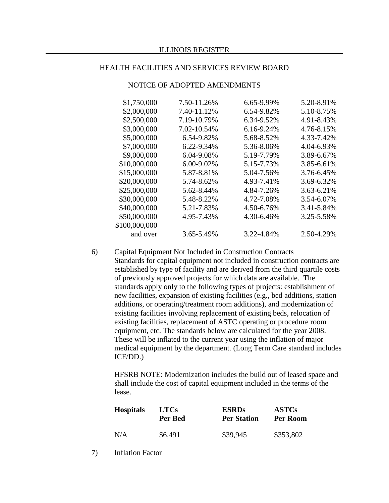| \$1,750,000   | 7.50-11.26%     | 6.65-9.99%      | 5.20-8.91% |
|---------------|-----------------|-----------------|------------|
| \$2,000,000   | 7.40-11.12%     | 6.54-9.82%      | 5.10-8.75% |
| \$2,500,000   | 7.19-10.79%     | 6.34-9.52%      | 4.91-8.43% |
| \$3,000,000   | 7.02-10.54%     | $6.16 - 9.24\%$ | 4.76-8.15% |
| \$5,000,000   | 6.54-9.82%      | 5.68-8.52%      | 4.33-7.42% |
| \$7,000,000   | 6.22-9.34%      | 5.36-8.06%      | 4.04-6.93% |
| \$9,000,000   | $6.04 - 9.08\%$ | 5.19-7.79%      | 3.89-6.67% |
| \$10,000,000  | $6.00 - 9.02\%$ | 5.15-7.73%      | 3.85-6.61% |
| \$15,000,000  | 5.87-8.81%      | 5.04-7.56%      | 3.76-6.45% |
| \$20,000,000  | 5.74-8.62%      | 4.93-7.41%      | 3.69-6.32% |
| \$25,000,000  | 5.62-8.44%      | 4.84-7.26%      | 3.63-6.21% |
| \$30,000,000  | 5.48-8.22%      | 4.72-7.08%      | 3.54-6.07% |
| \$40,000,000  | 5.21-7.83%      | 4.50-6.76%      | 3.41-5.84% |
| \$50,000,000  | 4.95-7.43%      | 4.30-6.46%      | 3.25-5.58% |
| \$100,000,000 |                 |                 |            |
| and over      | 3.65-5.49%      | 3.22-4.84%      | 2.50-4.29% |
|               |                 |                 |            |

NOTICE OF ADOPTED AMENDMENTS

6) Capital Equipment Not Included in Construction Contracts Standards for capital equipment not included in construction contracts are established by type of facility and are derived from the third quartile costs of previously approved projects for which data are available. The standards apply only to the following types of projects: establishment of new facilities, expansion of existing facilities (e.g., bed additions, station additions, or operating/treatment room additions), and modernization of existing facilities involving replacement of existing beds, relocation of existing facilities, replacement of ASTC operating or procedure room equipment, etc. The standards below are calculated for the year 2008. These will be inflated to the current year using the inflation of major medical equipment by the department. (Long Term Care standard includes ICF/DD.)

HFSRB NOTE: Modernization includes the build out of leased space and shall include the cost of capital equipment included in the terms of the lease.

| <b>Hospitals</b> | <b>LTCs</b> | <b>ESRDs</b>       | <b>ASTCs</b> |
|------------------|-------------|--------------------|--------------|
|                  | Per Bed     | <b>Per Station</b> | Per Room     |
| N/A              | \$6,491     | \$39,945           | \$353,802    |

7) Inflation Factor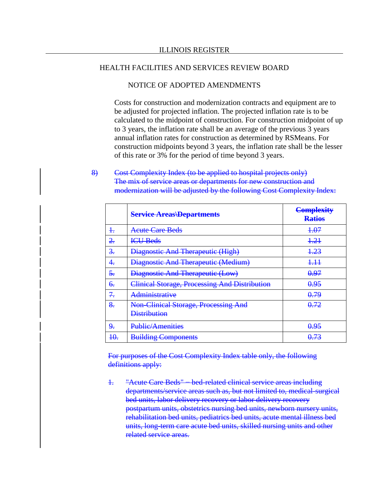### NOTICE OF ADOPTED AMENDMENTS

Costs for construction and modernization contracts and equipment are to be adjusted for projected inflation. The projected inflation rate is to be calculated to the midpoint of construction. For construction midpoint of up to 3 years, the inflation rate shall be an average of the previous 3 years annual inflation rates for construction as determined by RSMeans. For construction midpoints beyond 3 years, the inflation rate shall be the lesser of this rate or 3% for the period of time beyond 3 years.

## 8) Cost Complexity Index (to be applied to hospital projects only) The mix of service areas or departments for new construction and modernization will be adjusted by the following Cost Complexity Index:

|                           | <b>Service Areas Departments</b>                            | <b>Complexity</b><br><b>Ratios</b> |
|---------------------------|-------------------------------------------------------------|------------------------------------|
| $\ddagger$                | Acute Care Beds                                             | 1.07                               |
| <u>2.</u>                 | <b>ICU Beds</b>                                             | 4.21                               |
| 3.                        | <b>Diagnostic And Therapeutic (High)</b>                    | 4.23                               |
| 4.                        | Diagnostic And Therapeutic (Medium)                         | 4.44                               |
| $\overline{\mathbf{5}}$ . | <b>Diagnostic And Therapeutic (Low)</b>                     | <del>0.97</del>                    |
| €.                        | Clinical Storage, Processing And Distribution               | 0.95                               |
| 7.                        | <del>Administrative</del>                                   | 0.79                               |
| 8.                        | Non-Clinical Storage, Processing And<br><b>Distribution</b> | 0.72                               |
| 9.                        | <b>Public/Amenities</b>                                     | 0.95                               |
| 40.                       | <b>Building Components</b>                                  |                                    |

For purposes of the Cost Complexity Index table only, the following definitions apply:

1. "Acute Care Beds" − bed-related clinical service areas including departments/service areas such as, but not limited to, medical-surgical bed units, labor delivery recovery or labor delivery recovery postpartum units, obstetrics nursing bed units, newborn nursery units, rehabilitation bed units, pediatrics bed units, acute mental illness bed units, long-term care acute bed units, skilled nursing units and other related service areas.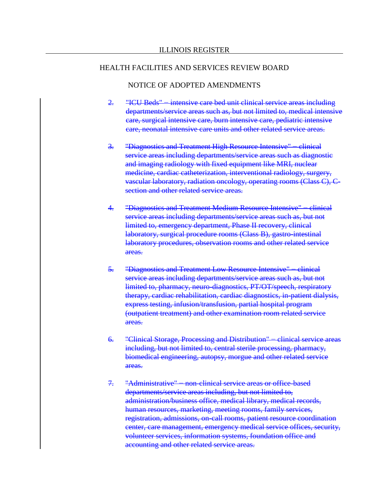## NOTICE OF ADOPTED AMENDMENTS

- 2. "ICU Beds" intensive care bed unit clinical service areas including departments/service areas such as, but not limited to, medical intensive care, surgical intensive care, burn intensive care, pediatric intensive care, neonatal intensive care units and other related service areas.
- 3. "Diagnostics and Treatment High Resource Intensive" clinical service areas including departments/service areas such as diagnostic and imaging radiology with fixed equipment like MRI, nuclear medicine, cardiac catheterization, interventional radiology, surgery, vascular laboratory, radiation oncology, operating rooms (Class C), Csection and other related service areas.
- 4. "Diagnostics and Treatment Medium Resource Intensive" clinical service areas including departments/service areas such as, but not limited to, emergency department, Phase II recovery, clinical laboratory, surgical procedure rooms (Class B), gastro-intestinal laboratory procedures, observation rooms and other related service areas.
- 5. "Diagnostics and Treatment Low Resource Intensive" clinical service areas including departments/service areas such as, but not limited to, pharmacy, neuro-diagnostics, PT/OT/speech, respiratory therapy, cardiac rehabilitation, cardiac diagnostics, in-patient dialysis, express testing, infusion/transfusion, partial hospital program (outpatient treatment) and other examination room related service areas.
- 6. "Clinical Storage, Processing and Distribution" − clinical service areas including, but not limited to, central sterile processing, pharmacy, biomedical engineering, autopsy, morgue and other related service areas.
- 7. "Administrative" = non-clinical service areas or office-based departments/service areas including, but not limited to, administration/business office, medical library, medical records, human resources, marketing, meeting rooms, family services, registration, admissions, on-call rooms, patient resource coordination center, care management, emergency medical service offices, security, volunteer services, information systems, foundation office and accounting and other related service areas.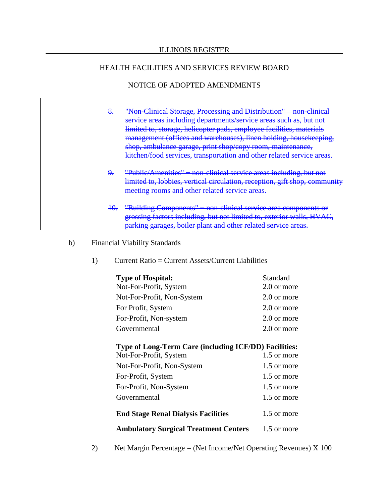## NOTICE OF ADOPTED AMENDMENTS

- 8. "Non-Clinical Storage, Processing and Distribution" = non-clinical service areas including departments/service areas such as, but not limited to, storage, helicopter pads, employee facilities, materials management (offices and warehouses), linen holding, housekeeping, shop, ambulance garage, print shop/copy room, maintenance, kitchen/food services, transportation and other related service areas.
- 9. "Public/Amenities" non-clinical service areas including, but not limited to, lobbies, vertical circulation, reception, gift shop, community meeting rooms and other related service areas.
- 10. "Building Components" − non-clinical service area components or grossing factors including, but not limited to, exterior walls, HVAC, parking garages, boiler plant and other related service areas.
- b) Financial Viability Standards
	- 1) Current Ratio = Current Assets/Current Liabilities

| Standard    |
|-------------|
| 2.0 or more |
| 2.0 or more |
| 2.0 or more |
| 2.0 or more |
| 2.0 or more |
|             |

## **Type of Long-Term Care (including ICF/DD) Facilities:**

| <b>Ambulatory Surgical Treatment Centers</b> | 1.5 or more |
|----------------------------------------------|-------------|
| <b>End Stage Renal Dialysis Facilities</b>   | 1.5 or more |
| Governmental                                 | 1.5 or more |
| For-Profit, Non-System                       | 1.5 or more |
| For-Profit, System                           | 1.5 or more |
| Not-For-Profit, Non-System                   | 1.5 or more |
| Not-For-Profit, System                       | 1.5 or more |

2) Net Margin Percentage = (Net Income/Net Operating Revenues) X 100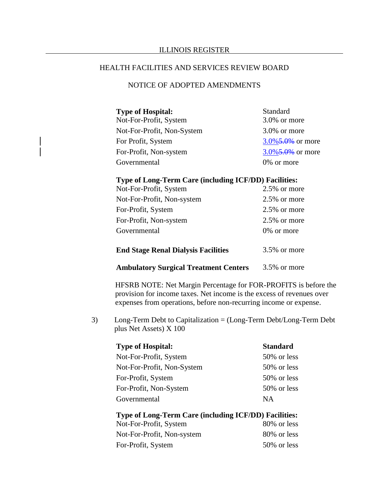### HEALTH FACILITIES AND SERVICES REVIEW BOARD

## NOTICE OF ADOPTED AMENDMENTS

| <b>Type of Hospital:</b>   | <b>Standard</b>      |
|----------------------------|----------------------|
| Not-For-Profit, System     | 3.0% or more         |
| Not-For-Profit, Non-System | $3.0\%$ or more      |
| For Profit, System         | $3.0\%$ 5.0% or more |
| For-Profit, Non-system     | $3.0\%$ 5.0% or more |
| Governmental               | 0% or more           |

## **Type of Long-Term Care (including ICF/DD) Facilities:**

| <b>End Stage Renal Dialysis Facilities</b> | 3.5% or more    |
|--------------------------------------------|-----------------|
| Governmental                               | 0% or more      |
| For-Profit, Non-system                     | $2.5\%$ or more |
| For-Profit, System                         | 2.5% or more    |
| Not-For-Profit, Non-system                 | $2.5\%$ or more |
| Not-For-Profit, System                     | 2.5% or more    |

#### **Ambulatory Surgical Treatment Centers** 3.5% or more

HFSRB NOTE: Net Margin Percentage for FOR-PROFITS is before the provision for income taxes. Net income is the excess of revenues over expenses from operations, before non-recurring income or expense.

3) Long-Term Debt to Capitalization = (Long-Term Debt/Long-Term Debt plus Net Assets) X 100

| <b>Type of Hospital:</b>   | <b>Standard</b> |
|----------------------------|-----------------|
| Not-For-Profit, System     | 50% or less     |
| Not-For-Profit, Non-System | 50% or less     |
| For-Profit, System         | 50% or less     |
| For-Profit, Non-System     | 50% or less     |
| Governmental               | <b>NA</b>       |

# **Type of Long-Term Care (including ICF/DD) Facilities:**

| Not-For-Profit, System     | 80% or less |
|----------------------------|-------------|
| Not-For-Profit, Non-system | 80% or less |
| For-Profit, System         | 50% or less |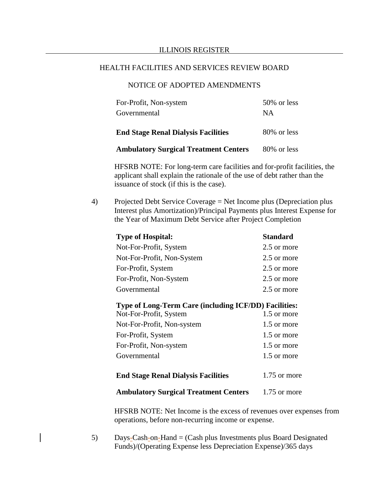## NOTICE OF ADOPTED AMENDMENTS

| Governmental                               | <b>NA</b>   |
|--------------------------------------------|-------------|
| <b>End Stage Renal Dialysis Facilities</b> | 80% or less |

| <b>Ambulatory Surgical Treatment Centers</b> |  |  |  | 80% or less |
|----------------------------------------------|--|--|--|-------------|
|----------------------------------------------|--|--|--|-------------|

HFSRB NOTE: For long-term care facilities and for-profit facilities, the applicant shall explain the rationale of the use of debt rather than the issuance of stock (if this is the case).

4) Projected Debt Service Coverage = Net Income plus (Depreciation plus Interest plus Amortization)/Principal Payments plus Interest Expense for the Year of Maximum Debt Service after Project Completion

| <b>Standard</b> |
|-----------------|
| 2.5 or more     |
| 2.5 or more     |
| 2.5 or more     |
| 2.5 or more     |
| 2.5 or more     |
|                 |

#### **Type of Long-Term Care (including ICF/DD) Facilities:**

| Not-For-Profit, System                       | 1.5 or more  |
|----------------------------------------------|--------------|
| Not-For-Profit, Non-system                   | 1.5 or more  |
| For-Profit, System                           | 1.5 or more  |
| For-Profit, Non-system                       | 1.5 or more  |
| Governmental                                 | 1.5 or more  |
|                                              |              |
| <b>End Stage Renal Dialysis Facilities</b>   | 1.75 or more |
| <b>Ambulatory Surgical Treatment Centers</b> | 1.75 or more |

HFSRB NOTE: Net Income is the excess of revenues over expenses from operations, before non-recurring income or expense.

5) Days-Cash-on-Hand = (Cash plus Investments plus Board Designated Funds)/(Operating Expense less Depreciation Expense)/365 days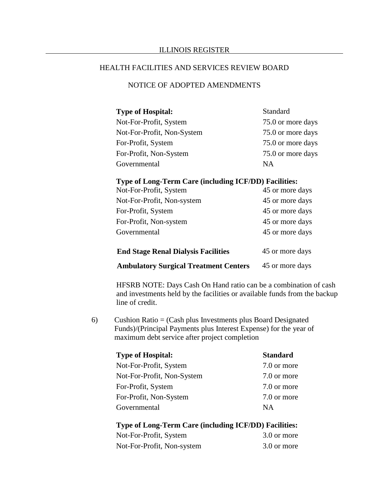## NOTICE OF ADOPTED AMENDMENTS

| <b>Type of Hospital:</b>   | Standard          |
|----------------------------|-------------------|
| Not-For-Profit, System     | 75.0 or more days |
| Not-For-Profit, Non-System | 75.0 or more days |
| For-Profit, System         | 75.0 or more days |
| For-Profit, Non-System     | 75.0 or more days |
| Governmental               | NА                |

#### **Type of Long-Term Care (including ICF/DD) Facilities:**

| <b>End Stage Renal Dialysis Facilities</b> | 45 or more days |
|--------------------------------------------|-----------------|
| Governmental                               | 45 or more days |
| For-Profit, Non-system                     | 45 or more days |
| For-Profit, System                         | 45 or more days |
| Not-For-Profit, Non-system                 | 45 or more days |
| Not-For-Profit, System                     | 45 or more days |

**Ambulatory Surgical Treatment Centers** 45 or more days

HFSRB NOTE: Days Cash On Hand ratio can be a combination of cash and investments held by the facilities or available funds from the backup line of credit.

6) Cushion Ratio = (Cash plus Investments plus Board Designated Funds)/(Principal Payments plus Interest Expense) for the year of maximum debt service after project completion

| <b>Type of Hospital:</b>   | <b>Standard</b> |
|----------------------------|-----------------|
| Not-For-Profit, System     | 7.0 or more     |
| Not-For-Profit, Non-System | 7.0 or more     |
| For-Profit, System         | 7.0 or more     |
| For-Profit, Non-System     | 7.0 or more     |
| Governmental               | <b>NA</b>       |

# **Type of Long-Term Care (including ICF/DD) Facilities:**

| Not-For-Profit, System     | 3.0 or more |
|----------------------------|-------------|
| Not-For-Profit, Non-system | 3.0 or more |